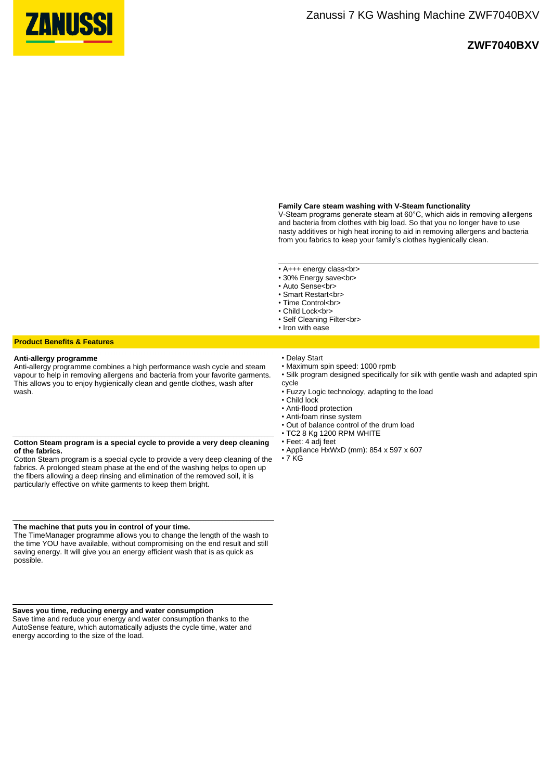

# **ZWF7040BXV**

## **Family Care steam washing with V-Steam functionality**

V-Steam programs generate steam at 60°C, which aids in removing allergens and bacteria from clothes with big load. So that you no longer have to use nasty additives or high heat ironing to aid in removing allergens and bacteria from you fabrics to keep your family's clothes hygienically clean.

• A+++ energy class<br>

- 30% Energy save<br>
- Auto Sense<br>
- Smart Restart<br>
- Time Control<br>
- Child Lock<br>
- Self Cleaning Filter<br>
- Iron with ease
- 

## **Product Benefits & Features**

### **Anti-allergy programme**

Anti-allergy programme combines a high performance wash cycle and steam vapour to help in removing allergens and bacteria from your favorite garments. This allows you to enjoy hygienically clean and gentle clothes, wash after wash.

## **Cotton Steam program is a special cycle to provide a very deep cleaning of the fabrics.**

Cotton Steam program is a special cycle to provide a very deep cleaning of the fabrics. A prolonged steam phase at the end of the washing helps to open up the fibers allowing a deep rinsing and elimination of the removed soil, it is particularly effective on white garments to keep them bright.

#### **The machine that puts you in control of your time.**

The TimeManager programme allows you to change the length of the wash to the time YOU have available, without compromising on the end result and still saving energy. It will give you an energy efficient wash that is as quick as possible.

#### **Saves you time, reducing energy and water consumption**

Save time and reduce your energy and water consumption thanks to the AutoSense feature, which automatically adjusts the cycle time, water and energy according to the size of the load.

- Delay Start
- Maximum spin speed: 1000 rpmb
- Silk program designed specifically for silk with gentle wash and adapted spin cycle
- Fuzzy Logic technology, adapting to the load
- Child lock
- Anti-flood protection
- Anti-foam rinse system
- Out of balance control of the drum load
- TC2 8 Kg 1200 RPM WHITE
- Feet: 4 adj feet
- Appliance HxWxD (mm): 854 x 597 x 607
- $\cdot$  7 KG